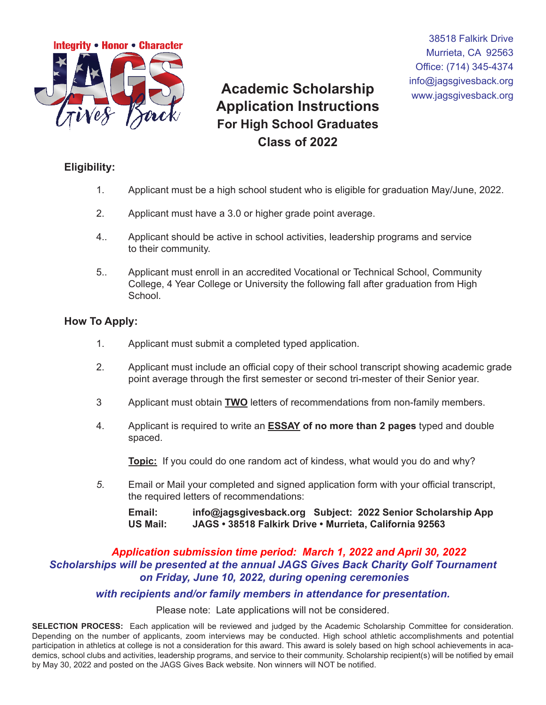

info@jagsgivesback.org **Academic Scholarship** www.jagsgivesback.org **Application Instructions For High School Graduates Class of 2022**

38518 Falkirk Drive Murrieta, CA 92563 Office: (714) 345-4374

## **Eligibility:**

- 1. Applicant must be a high school student who is eligible for graduation May/June, 2022.
- 2. Applicant must have a 3.0 or higher grade point average.
- 4.. Applicant should be active in school activities, leadership programs and service to their community.
- 5.. Applicant must enroll in an accredited Vocational or Technical School, Community College, 4 Year College or University the following fall after graduation from High School.

### **How To Apply:**

- 1. Applicant must submit a completed typed application.
- 2. Applicant must include an official copy of their school transcript showing academic grade point average through the first semester or second tri-mester of their Senior year.
- 3 Applicant must obtain **TWO** letters of recommendations from non-family members.
- 4. Applicant is required to write an **ESSAY of no more than 2 pages** typed and double spaced.

**Topic:** If you could do one random act of kindess, what would you do and why?

 *5*. Email or Mail your completed and signed application form with your official transcript, the required letters of recommendations:

```
 Email: info@jagsgivesback.org Subject: 2022 Senior Scholarship App
US Mail: JAGS • 38518 Falkirk Drive • Murrieta, California 92563
```
## *Application submission time period: March 1, 2022 and April 30, 2022 Scholarships will be presented at the annual JAGS Gives Back Charity Golf Tournament on Friday, June 10, 2022, during opening ceremonies*

### *with recipients and/or family members in attendance for presentation.*

Please note: Late applications will not be considered.

**SELECTION PROCESS:** Each application will be reviewed and judged by the Academic Scholarship Committee for consideration. Depending on the number of applicants, zoom interviews may be conducted. High school athletic accomplishments and potential participation in athletics at college is not a consideration for this award. This award is solely based on high school achievements in academics, school clubs and activities, leadership programs, and service to their community. Scholarship recipient(s) will be notified by email by May 30, 2022 and posted on the JAGS Gives Back website. Non winners will NOT be notified.